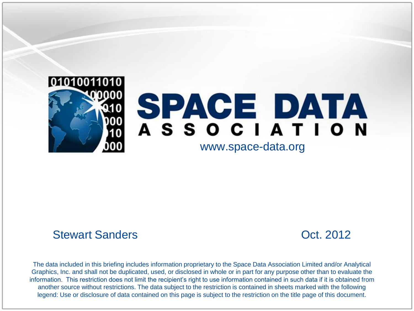

# SPACE DATA ASSOCIATION

#### www.space-data.org

#### Stewart Sanders Contract Contract Contract Contract Contract Contract Oct. 2012

The data included in this briefing includes information proprietary to the Space Data Association Limited and/or Analytical Graphics, Inc. and shall not be duplicated, used, or disclosed in whole or in part for any purpose other than to evaluate the information. This restriction does not limit the recipient's right to use information contained in such data if it is obtained from another source without restrictions. The data subject to the restriction is contained in sheets marked with the following legend: Use or disclosure of data contained on this page is subject to the restriction on the title page of this document.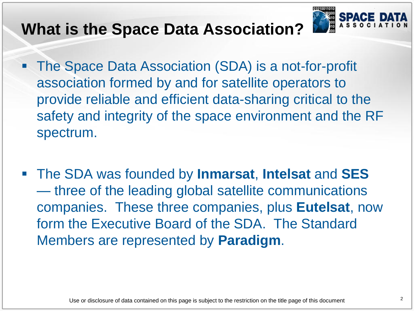### **What is the Space Data Association?**



- The Space Data Association (SDA) is a not-for-profit association formed by and for satellite operators to provide reliable and efficient data-sharing critical to the safety and integrity of the space environment and the RF spectrum.
- The SDA was founded by **Inmarsat**, **Intelsat** and **SES** — three of the leading global satellite communications companies. These three companies, plus **Eutelsat**, now form the Executive Board of the SDA. The Standard Members are represented by **Paradigm**.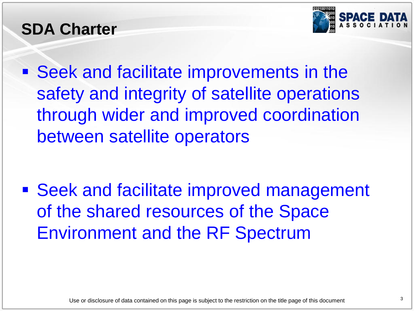### **SDA Charter**



 Seek and facilitate improvements in the safety and integrity of satellite operations through wider and improved coordination between satellite operators

■ Seek and facilitate improved management of the shared resources of the Space Environment and the RF Spectrum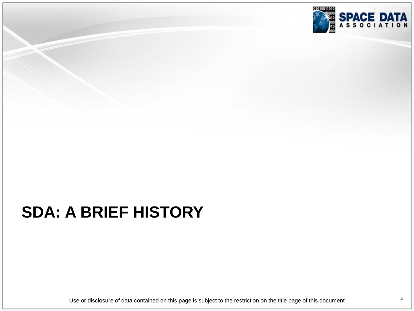

# **SDA: A BRIEF HISTORY**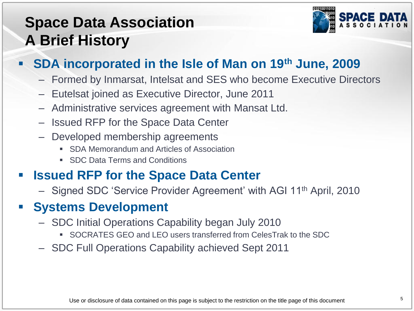### **Space Data Association A Brief History**



#### **SDA incorporated in the Isle of Man on 19th June, 2009**

- Formed by Inmarsat, Intelsat and SES who become Executive Directors
- Eutelsat joined as Executive Director, June 2011
- Administrative services agreement with Mansat Ltd.
- Issued RFP for the Space Data Center
- Developed membership agreements
	- SDA Memorandum and Articles of Association
	- SDC Data Terms and Conditions

#### **Issued RFP for the Space Data Center**

– Signed SDC ‗Service Provider Agreement' with AGI 11th April, 2010

#### **Systems Development**

- SDC Initial Operations Capability began July 2010
	- SOCRATES GEO and LEO users transferred from CelesTrak to the SDC
- SDC Full Operations Capability achieved Sept 2011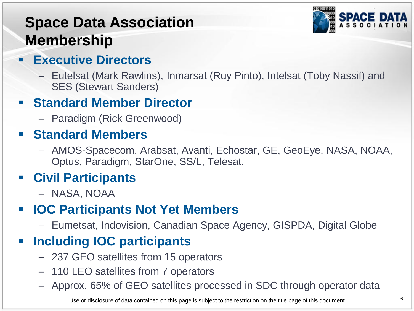### **Space Data Association Membership**



- **Executive Directors**
	- Eutelsat (Mark Rawlins), Inmarsat (Ruy Pinto), Intelsat (Toby Nassif) and SES (Stewart Sanders)

#### **F** Standard Member Director

– Paradigm (Rick Greenwood)

#### **Standard Members**

– AMOS-Spacecom, Arabsat, Avanti, Echostar, GE, GeoEye, NASA, NOAA, Optus, Paradigm, StarOne, SS/L, Telesat,

#### **Civil Participants**

– NASA, NOAA

#### **IOC Participants Not Yet Members**

– Eumetsat, Indovision, Canadian Space Agency, GISPDA, Digital Globe

#### **Including IOC participants**

- 237 GEO satellites from 15 operators
- 110 LEO satellites from 7 operators
- Approx. 65% of GEO satellites processed in SDC through operator data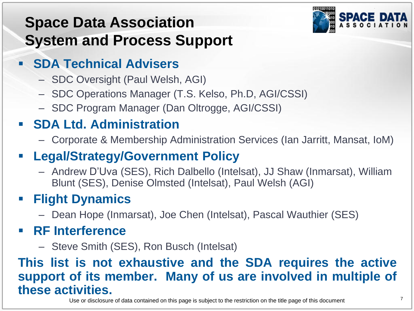### **Space Data Association System and Process Support**



#### **SDA Technical Advisers**

- SDC Oversight (Paul Welsh, AGI)
- SDC Operations Manager (T.S. Kelso, Ph.D, AGI/CSSI)
- SDC Program Manager (Dan Oltrogge, AGI/CSSI)

### **SDA Ltd. Administration**

– Corporate & Membership Administration Services (Ian Jarritt, Mansat, IoM)

### **Legal/Strategy/Government Policy**

– Andrew D'Uva (SES), Rich Dalbello (Intelsat), JJ Shaw (Inmarsat), William Blunt (SES), Denise Olmsted (Intelsat), Paul Welsh (AGI)

### **Flight Dynamics**

– Dean Hope (Inmarsat), Joe Chen (Intelsat), Pascal Wauthier (SES)

#### **RF Interference**

– Steve Smith (SES), Ron Busch (Intelsat)

#### **This list is not exhaustive and the SDA requires the active support of its member. Many of us are involved in multiple of these activities.**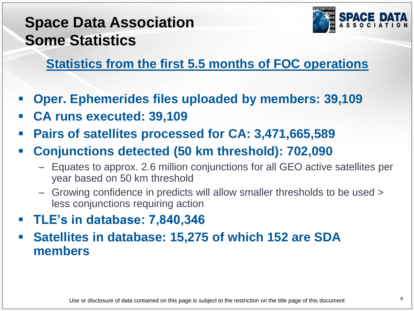### **Space Data Association Some Statistics**



#### **Statistics from the first 5.5 months of FOC operations**

- **Oper. Ephemerides files uploaded by members: 39,109**
- **CA runs executed: 39,109**
- **Pairs of satellites processed for CA: 3,471,665,589**
- **Conjunctions detected (50 km threshold): 702,090**
	- Equates to approx. 2.6 million conjunctions for all GEO active satellites per year based on 50 km threshold
	- Growing confidence in predicts will allow smaller thresholds to be used > less conjunctions requiring action
- **TLE's in database: 7,840,346**
- **Satellites in database: 15,275 of which 152 are SDA members**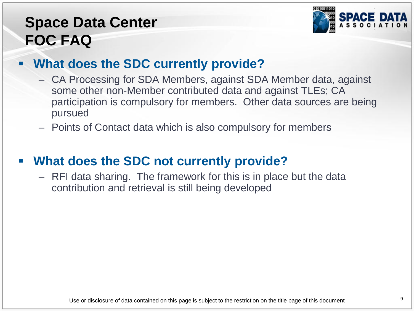### **Space Data Center FOC FAQ**



#### **What does the SDC currently provide?**

- CA Processing for SDA Members, against SDA Member data, against some other non-Member contributed data and against TLEs; CA participation is compulsory for members. Other data sources are being pursued
- Points of Contact data which is also compulsory for members

#### **What does the SDC not currently provide?**

– RFI data sharing. The framework for this is in place but the data contribution and retrieval is still being developed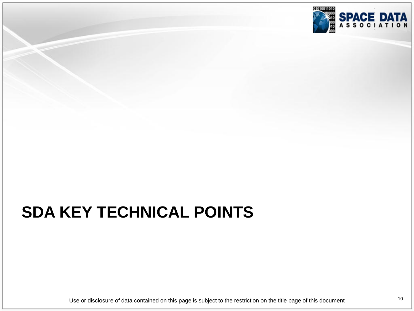

# **SDA KEY TECHNICAL POINTS**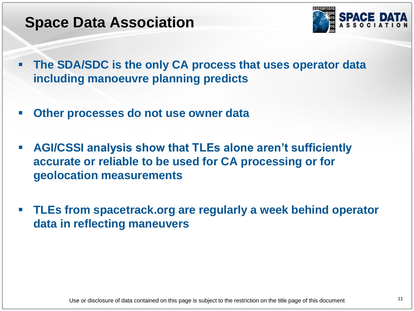### **Space Data Association**



- **The SDA/SDC is the only CA process that uses operator data including manoeuvre planning predicts**
- **Other processes do not use owner data**
- **AGI/CSSI analysis show that TLEs alone aren't sufficiently accurate or reliable to be used for CA processing or for geolocation measurements**
- **TLEs from spacetrack.org are regularly a week behind operator data in reflecting maneuvers**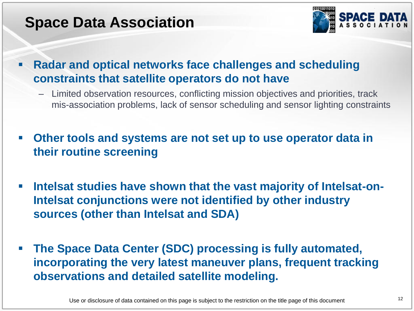### **Space Data Association**



 **Radar and optical networks face challenges and scheduling constraints that satellite operators do not have**

- Limited observation resources, conflicting mission objectives and priorities, track mis-association problems, lack of sensor scheduling and sensor lighting constraints
- **Other tools and systems are not set up to use operator data in their routine screening**
- **EXTERF Intelsat studies have shown that the vast majority of Intelsat-on-Intelsat conjunctions were not identified by other industry sources (other than Intelsat and SDA)**
- **The Space Data Center (SDC) processing is fully automated, incorporating the very latest maneuver plans, frequent tracking observations and detailed satellite modeling.**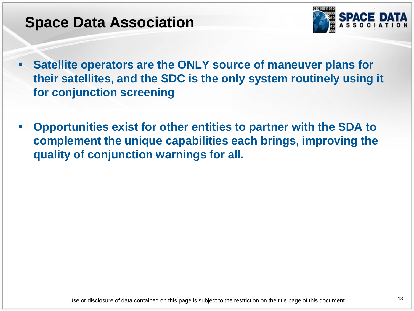### **Space Data Association**



- **Satellite operators are the ONLY source of maneuver plans for their satellites, and the SDC is the only system routinely using it for conjunction screening**
- **Opportunities exist for other entities to partner with the SDA to complement the unique capabilities each brings, improving the quality of conjunction warnings for all.**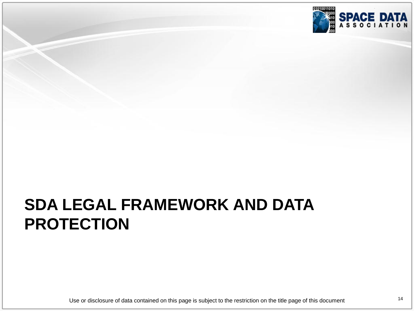

### **SDA LEGAL FRAMEWORK AND DATA PROTECTION**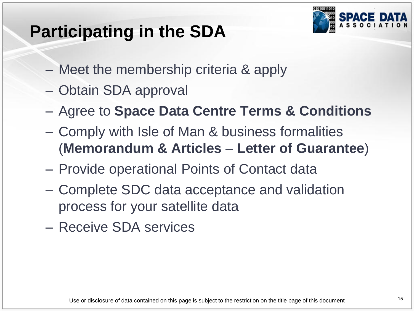## **Participating in the SDA**



- Meet the membership criteria & apply
- Obtain SDA approval
- Agree to **Space Data Centre Terms & Conditions**
- Comply with Isle of Man & business formalities (**Memorandum & Articles** – **Letter of Guarantee**)
- Provide operational Points of Contact data
- Complete SDC data acceptance and validation process for your satellite data
- Receive SDA services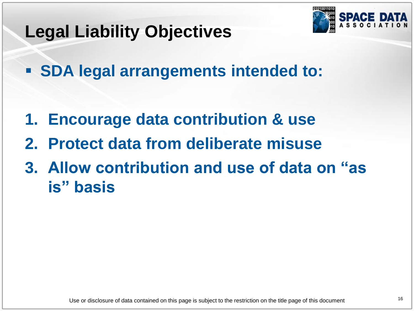

### **Legal Liability Objectives**

**SDA legal arrangements intended to:**

- **1. Encourage data contribution & use**
- **2. Protect data from deliberate misuse**
- **3. Allow contribution and use of data on "as is" basis**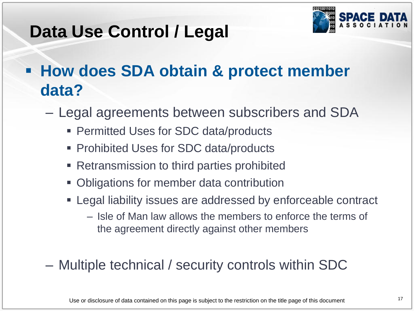

### **Data Use Control / Legal**

## **How does SDA obtain & protect member data?**

- Legal agreements between subscribers and SDA
	- Permitted Uses for SDC data/products
	- Prohibited Uses for SDC data/products
	- **Retransmission to third parties prohibited**
	- Obligations for member data contribution
	- Legal liability issues are addressed by enforceable contract
		- Isle of Man law allows the members to enforce the terms of the agreement directly against other members
- Multiple technical / security controls within SDC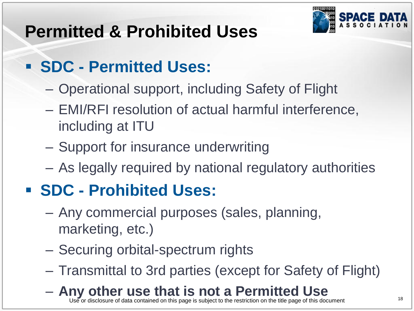

# **Permitted & Prohibited Uses**

## **SDC - Permitted Uses:**

- Operational support, including Safety of Flight
- EMI/RFI resolution of actual harmful interference, including at ITU
- Support for insurance underwriting
- As legally required by national regulatory authorities

# **SDC - Prohibited Uses:**

- Any commercial purposes (sales, planning, marketing, etc.)
- Securing orbital-spectrum rights
- Transmittal to 3rd parties (except for Safety of Flight)
- **Any other use that is not a Permitted Use**

<sup>18</sup><br>18<br>18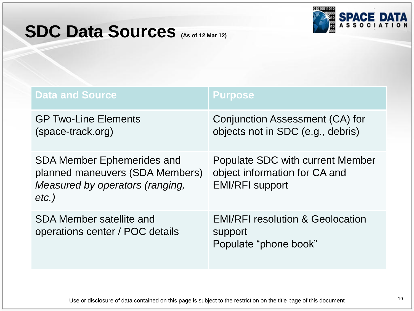### **SDC Data Sources (As of 12 Mar 12)**



| <b>Data and Source</b>                                                                                              | <b>Purpose</b>                                                                              |
|---------------------------------------------------------------------------------------------------------------------|---------------------------------------------------------------------------------------------|
| <b>GP Two-Line Elements</b><br>(space-track.org)                                                                    | Conjunction Assessment (CA) for<br>objects not in SDC (e.g., debris)                        |
| <b>SDA Member Ephemerides and</b><br>planned maneuvers (SDA Members)<br>Measured by operators (ranging,<br>$etc.$ ) | Populate SDC with current Member<br>object information for CA and<br><b>EMI/RFI support</b> |
| <b>SDA Member satellite and</b><br>operations center / POC details                                                  | <b>EMI/RFI resolution &amp; Geolocation</b><br>support<br>Populate "phone book"             |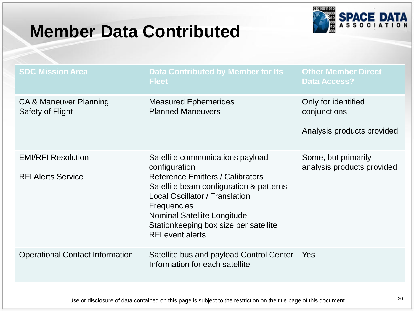### **Member Data Contributed**



| <b>SDC Mission Area</b>                                | <b>Data Contributed by Member for Its</b><br><b>Fleet</b>                                                                                                                                                                                                                                                 | <b>Other Member Direct</b><br><b>Data Access?</b>                 |
|--------------------------------------------------------|-----------------------------------------------------------------------------------------------------------------------------------------------------------------------------------------------------------------------------------------------------------------------------------------------------------|-------------------------------------------------------------------|
| CA & Maneuver Planning<br>Safety of Flight             | <b>Measured Ephemerides</b><br><b>Planned Maneuvers</b>                                                                                                                                                                                                                                                   | Only for identified<br>conjunctions<br>Analysis products provided |
| <b>EMI/RFI Resolution</b><br><b>RFI Alerts Service</b> | Satellite communications payload<br>configuration<br><b>Reference Emitters / Calibrators</b><br>Satellite beam configuration & patterns<br><b>Local Oscillator / Translation</b><br><b>Frequencies</b><br>Nominal Satellite Longitude<br>Stationkeeping box size per satellite<br><b>RFI</b> event alerts | Some, but primarily<br>analysis products provided                 |
| <b>Operational Contact Information</b>                 | Satellite bus and payload Control Center<br>Information for each satellite                                                                                                                                                                                                                                | Yes                                                               |
|                                                        |                                                                                                                                                                                                                                                                                                           |                                                                   |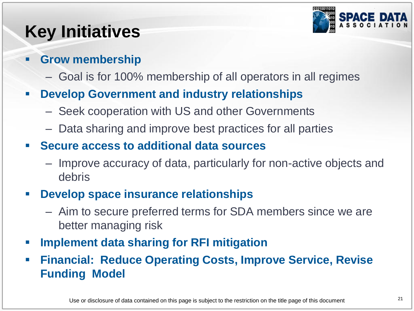

# **Key Initiatives**

#### **Grow membership**

– Goal is for 100% membership of all operators in all regimes

#### **Develop Government and industry relationships**

- Seek cooperation with US and other Governments
- Data sharing and improve best practices for all parties

#### **Secure access to additional data sources**

– Improve accuracy of data, particularly for non-active objects and debris

#### **Develop space insurance relationships**

- Aim to secure preferred terms for SDA members since we are better managing risk
- **Implement data sharing for RFI mitigation**
- **Financial: Reduce Operating Costs, Improve Service, Revise Funding Model**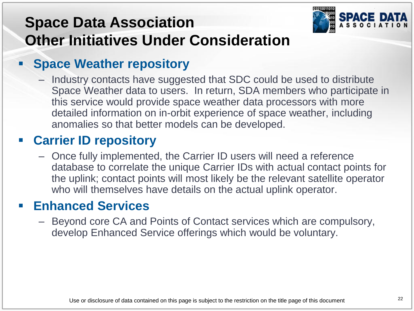### **Space Data Association Other Initiatives Under Consideration**



#### **Space Weather repository**

– Industry contacts have suggested that SDC could be used to distribute Space Weather data to users. In return, SDA members who participate in this service would provide space weather data processors with more detailed information on in-orbit experience of space weather, including anomalies so that better models can be developed.

#### **Carrier ID repository**

– Once fully implemented, the Carrier ID users will need a reference database to correlate the unique Carrier IDs with actual contact points for the uplink; contact points will most likely be the relevant satellite operator who will themselves have details on the actual uplink operator.

#### **Enhanced Services**

– Beyond core CA and Points of Contact services which are compulsory, develop Enhanced Service offerings which would be voluntary.